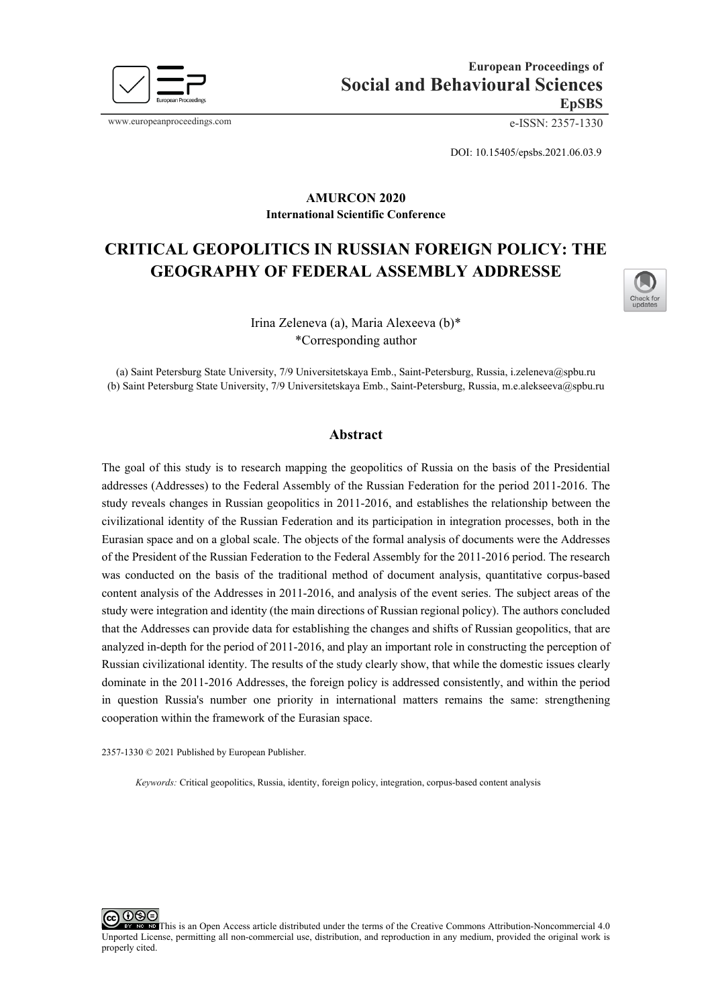

www.europeanproceedings.com e-ISSN: 2357-1330

DOI: 10.15405/epsbs.2021.06.03.9

#### **AMURCON 2020 International Scientific Conference**

# **CRITICAL GEOPOLITICS IN RUSSIAN FOREIGN POLICY: THE GEOGRAPHY OF FEDERAL ASSEMBLY ADDRESSE**



Irina Zeleneva (a), Maria Alexeeva (b)\* \*Corresponding author

(a) Saint Petersburg State University, 7/9 Universitetskaya Emb., Saint-Petersburg, Russia, i.zeleneva@spbu.ru (b) Saint Petersburg State University, 7/9 Universitetskaya Emb., Saint-Petersburg, Russia, m.e.alekseeva@spbu.ru

#### **Abstract**

The goal of this study is to research mapping the geopolitics of Russia on the basis of the Presidential addresses (Addresses) to the Federal Assembly of the Russian Federation for the period 2011-2016. The study reveals changes in Russian geopolitics in 2011-2016, and establishes the relationship between the civilizational identity of the Russian Federation and its participation in integration processes, both in the Eurasian space and on a global scale. The objects of the formal analysis of documents were the Addresses of the President of the Russian Federation to the Federal Assembly for the 2011-2016 period. The research was conducted on the basis of the traditional method of document analysis, quantitative corpus-based content analysis of the Addresses in 2011-2016, and analysis of the event series. The subject areas of the study were integration and identity (the main directions of Russian regional policy). The authors concluded that the Addresses can provide data for establishing the changes and shifts of Russian geopolitics, that are analyzed in-depth for the period of 2011-2016, and play an important role in constructing the perception of Russian civilizational identity. The results of the study clearly show, that while the domestic issues clearly dominate in the 2011-2016 Addresses, the foreign policy is addressed consistently, and within the period in question Russia's number one priority in international matters remains the same: strengthening cooperation within the framework of the Eurasian space.

2357-1330 © 2021 Published by European Publisher.

*Keywords:* Critical geopolitics, Russia, identity, foreign policy, integration, corpus-based content analysis

റഭെ This is an Open Access article distributed under the terms of the Creative Commons Attribution-Noncommercial 4.0 Unported License, permitting all non-commercial use, distribution, and reproduction in any medium, provided the original work is properly cited.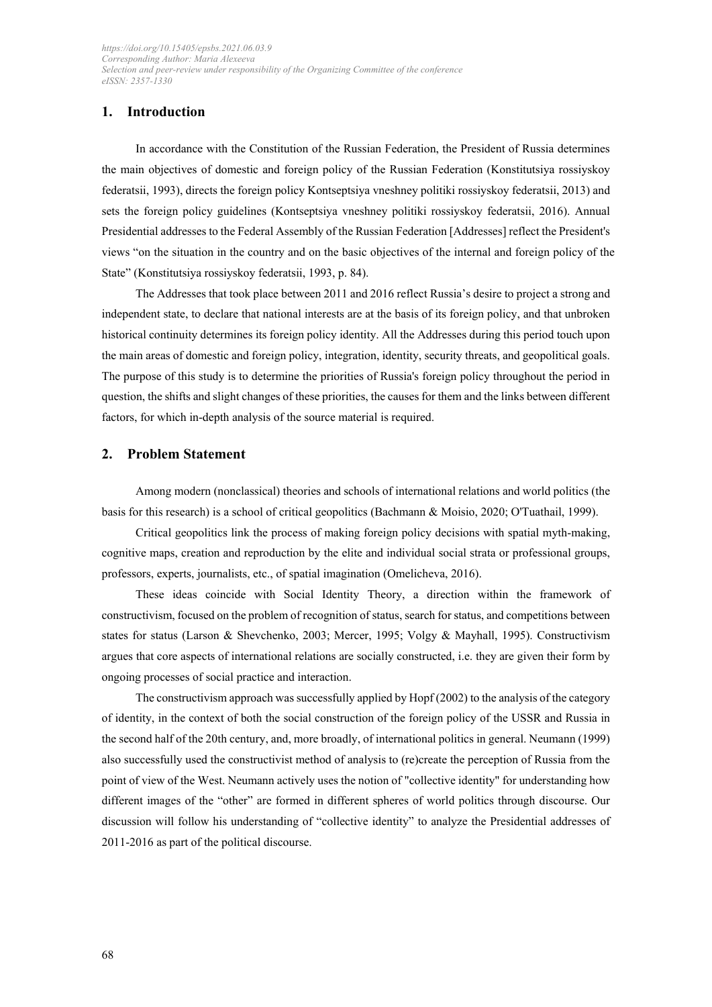# **1. Introduction**

In accordance with the Constitution of the Russian Federation, the President of Russia determines the main objectives of domestic and foreign policy of the Russian Federation (Konstitutsiya rossiyskoy federatsii, 1993), directs the foreign policy Kontseptsiya vneshney politiki rossiyskoy federatsii, 2013) and sets the foreign policy guidelines (Kontseptsiya vneshney politiki rossiyskoy federatsii, 2016). Annual Presidential addresses to the Federal Assembly of the Russian Federation [Addresses] reflect the President's views "on the situation in the country and on the basic objectives of the internal and foreign policy of the State" (Konstitutsiya rossiyskoy federatsii, 1993, p. 84).

The Addresses that took place between 2011 and 2016 reflect Russia's desire to project a strong and independent state, to declare that national interests are at the basis of its foreign policy, and that unbroken historical continuity determines its foreign policy identity. All the Addresses during this period touch upon the main areas of domestic and foreign policy, integration, identity, security threats, and geopolitical goals. The purpose of this study is to determine the priorities of Russia's foreign policy throughout the period in question, the shifts and slight changes of these priorities, the causes for them and the links between different factors, for which in-depth analysis of the source material is required.

## **2. Problem Statement**

Among modern (nonclassical) theories and schools of international relations and world politics (the basis for this research) is a school of critical geopolitics (Bachmann & Moisio, 2020; O'Tuathail, 1999).

Critical geopolitics link the process of making foreign policy decisions with spatial myth-making, cognitive maps, creation and reproduction by the elite and individual social strata or professional groups, professors, experts, journalists, etc., of spatial imagination (Omelicheva, 2016).

These ideas coincide with Social Identity Theory, a direction within the framework of constructivism, focused on the problem of recognition of status, search for status, and competitions between states for status (Larson & Shevchenko, 2003; Mercer, 1995; Volgy & Mayhall, 1995). Constructivism argues that core aspects of international relations are socially constructed, i.e. they are given their form by ongoing processes of social practice and interaction.

The constructivism approach was successfully applied by Hopf (2002) to the analysis of the category of identity, in the context of both the social construction of the foreign policy of the USSR and Russia in the second half of the 20th century, and, more broadly, of international politics in general. Neumann (1999) also successfully used the constructivist method of analysis to (re)create the perception of Russia from the point of view of the West. Neumann actively uses the notion of "collective identity" for understanding how different images of the "other" are formed in different spheres of world politics through discourse. Our discussion will follow his understanding of "collective identity" to analyze the Presidential addresses of 2011-2016 as part of the political discourse.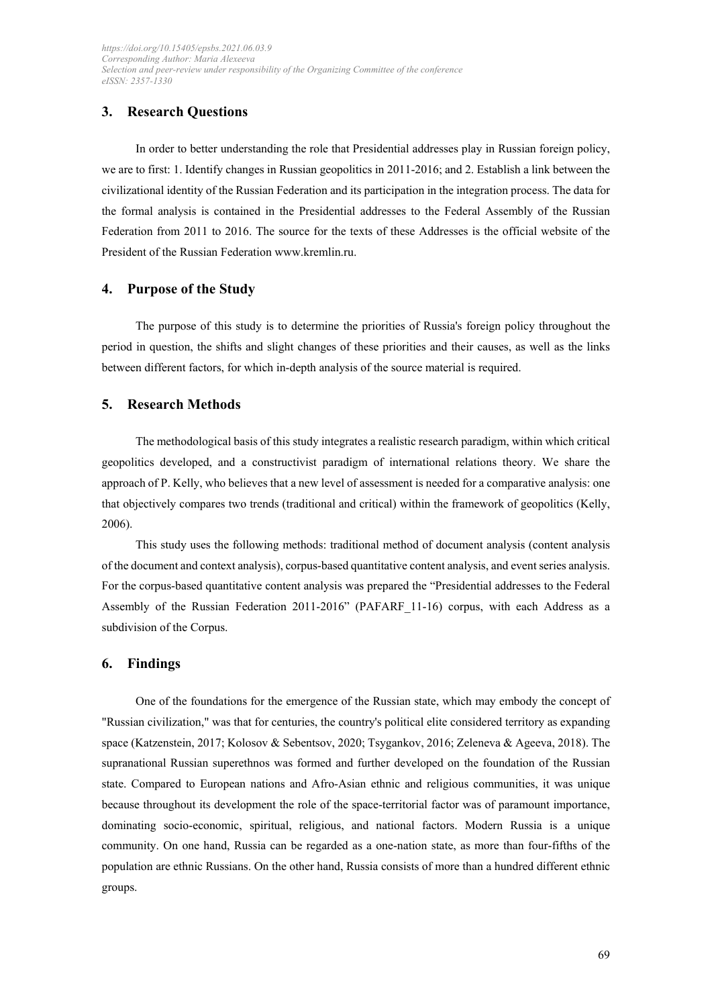# **3. Research Questions**

In order to better understanding the role that Presidential addresses play in Russian foreign policy, we are to first: 1. Identify changes in Russian geopolitics in 2011-2016; and 2. Establish a link between the civilizational identity of the Russian Federation and its participation in the integration process. The data for the formal analysis is contained in the Presidential addresses to the Federal Assembly of the Russian Federation from 2011 to 2016. The source for the texts of these Addresses is the official website of the President of the Russian Federatio[n www.kremlin.ru.](http://www.kremlin.ru/)

## **4. Purpose of the Study**

The purpose of this study is to determine the priorities of Russia's foreign policy throughout the period in question, the shifts and slight changes of these priorities and their causes, as well as the links between different factors, for which in-depth analysis of the source material is required.

## **5. Research Methods**

The methodological basis of this study integrates a realistic research paradigm, within which critical geopolitics developed, and a constructivist paradigm of international relations theory. We share the approach of P. Kelly, who believes that a new level of assessment is needed for a comparative analysis: one that objectively compares two trends (traditional and critical) within the framework of geopolitics (Kelly, 2006).

This study uses the following methods: traditional method of document analysis (content analysis of the document and context analysis), corpus-based quantitative content analysis, and event series analysis. For the corpus-based quantitative content analysis was prepared the "Presidential addresses to the Federal Assembly of the Russian Federation 2011-2016" (PAFARF\_11-16) corpus, with each Address as a subdivision of the Corpus.

## **6. Findings**

One of the foundations for the emergence of the Russian state, which may embody the concept of "Russian civilization," was that for centuries, the country's political elite considered territory as expanding space (Katzenstein, 2017; Kolosov & Sebentsov, 2020; Tsygankov, 2016; Zeleneva & Ageeva, 2018). The supranational Russian superethnos was formed and further developed on the foundation of the Russian state. Compared to European nations and Afro-Asian ethnic and religious communities, it was unique because throughout its development the role of the space-territorial factor was of paramount importance, dominating socio-economic, spiritual, religious, and national factors. Modern Russia is a unique community. On one hand, Russia can be regarded as a one-nation state, as more than four-fifths of the population are ethnic Russians. On the other hand, Russia consists of more than a hundred different ethnic groups.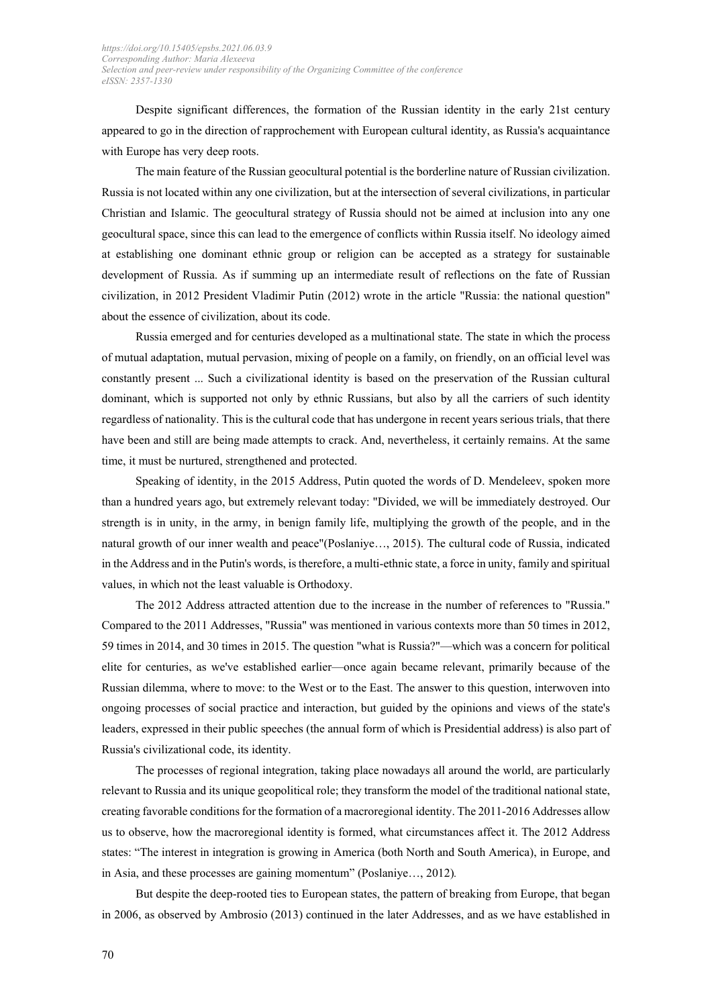Despite significant differences, the formation of the Russian identity in the early 21st century appeared to go in the direction of rapprochement with European cultural identity, as Russia's acquaintance with Europe has very deep roots.

The main feature of the Russian geocultural potential is the borderline nature of Russian civilization. Russia is not located within any one civilization, but at the intersection of several civilizations, in particular Christian and Islamic. The geocultural strategy of Russia should not be aimed at inclusion into any one geocultural space, since this can lead to the emergence of conflicts within Russia itself. No ideology aimed at establishing one dominant ethnic group or religion can be accepted as a strategy for sustainable development of Russia. As if summing up an intermediate result of reflections on the fate of Russian civilization, in 2012 President Vladimir Putin (2012) wrote in the article "Russia: the national question" about the essence of civilization, about its code.

Russia emerged and for centuries developed as a multinational state. The state in which the process of mutual adaptation, mutual pervasion, mixing of people on a family, on friendly, on an official level was constantly present ... Such a civilizational identity is based on the preservation of the Russian cultural dominant, which is supported not only by ethnic Russians, but also by all the carriers of such identity regardless of nationality. This is the cultural code that has undergone in recent years serious trials, that there have been and still are being made attempts to crack. And, nevertheless, it certainly remains. At the same time, it must be nurtured, strengthened and protected.

Speaking of identity, in the 2015 Address, Putin quoted the words of D. Mendeleev, spoken more than a hundred years ago, but extremely relevant today: "Divided, we will be immediately destroyed. Our strength is in unity, in the army, in benign family life, multiplying the growth of the people, and in the natural growth of our inner wealth and peace"(Poslaniye…, 2015). The cultural code of Russia, indicated in the Address and in the Putin's words, is therefore, a multi-ethnic state, a force in unity, family and spiritual values, in which not the least valuable is Orthodoxy.

The 2012 Address attracted attention due to the increase in the number of references to "Russia." Compared to the 2011 Addresses, "Russia" was mentioned in various contexts more than 50 times in 2012, 59 times in 2014, and 30 times in 2015. The question "what is Russia?"—which was a concern for political elite for centuries, as we've established earlier—once again became relevant, primarily because of the Russian dilemma, where to move: to the West or to the East. The answer to this question, interwoven into ongoing processes of social practice and interaction, but guided by the opinions and views of the state's leaders, expressed in their public speeches (the annual form of which is Presidential address) is also part of Russia's civilizational code, its identity.

The processes of regional integration, taking place nowadays all around the world, are particularly relevant to Russia and its unique geopolitical role; they transform the model of the traditional national state, creating favorable conditions for the formation of a macroregional identity. The 2011-2016 Addresses allow us to observe, how the macroregional identity is formed, what circumstances affect it. The 2012 Address states: "The interest in integration is growing in America (both North and South America), in Europe, and in Asia, and these processes are gaining momentum" (Poslaniye…, 2012)*.*

But despite the deep-rooted ties to European states, the pattern of breaking from Europe, that began in 2006, as observed by Ambrosio (2013) continued in the later Addresses, and as we have established in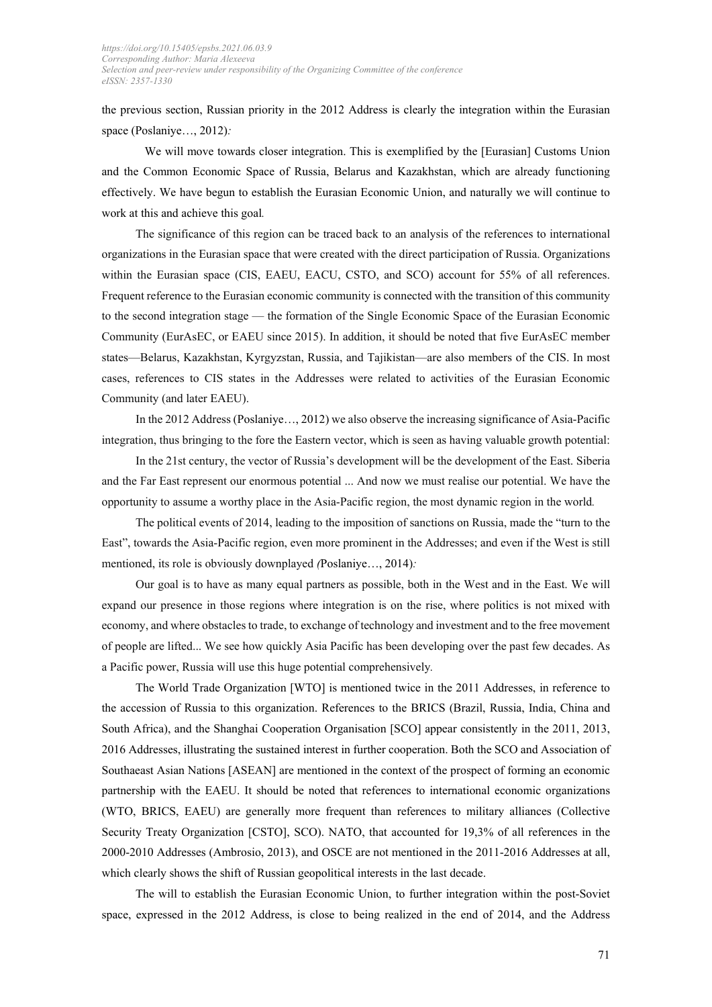the previous section, Russian priority in the 2012 Address is clearly the integration within the Eurasian space (Poslaniye…, 2012)*:* 

 We will move towards closer integration. This is exemplified by the [Eurasian] Customs Union and the Common Economic Space of Russia, Belarus and Kazakhstan, which are already functioning effectively. We have begun to establish the Eurasian Economic Union, and naturally we will continue to work at this and achieve this goal*.* 

The significance of this region can be traced back to an analysis of the references to international organizations in the Eurasian space that were created with the direct participation of Russia. Organizations within the Eurasian space (CIS, EAEU, EACU, CSTO, and SCO) account for 55% of all references. Frequent reference to the Eurasian economic community is connected with the transition of this community to the second integration stage — the formation of the Single Economic Space of the Eurasian Economic Community (EurAsEC, or EAEU since 2015). In addition, it should be noted that five EurAsEC member states—Belarus, Kazakhstan, Kyrgyzstan, Russia, and Tajikistan—are also members of the CIS. In most cases, references to CIS states in the Addresses were related to activities of the Eurasian Economic Community (and later EAEU).

In the 2012 Address (Poslaniye…, 2012) we also observe the increasing significance of Asia-Pacific integration, thus bringing to the fore the Eastern vector, which is seen as having valuable growth potential:

In the 21st century, the vector of Russia's development will be the development of the East. Siberia and the Far East represent our enormous potential ... And now we must realise our potential. We have the opportunity to assume a worthy place in the Asia-Pacific region, the most dynamic region in the world*.* 

The political events of 2014, leading to the imposition of sanctions on Russia, made the "turn to the East", towards the Asia-Pacific region, even more prominent in the Addresses; and even if the West is still mentioned, its role is obviously downplayed *(*Poslaniye…, 2014)*:* 

Our goal is to have as many equal partners as possible, both in the West and in the East. We will expand our presence in those regions where integration is on the rise, where politics is not mixed with economy, and where obstacles to trade, to exchange of technology and investment and to the free movement of people are lifted... We see how quickly Asia Pacific has been developing over the past few decades. As a Pacific power, Russia will use this huge potential comprehensively*.*

The World Trade Organization [WTO] is mentioned twice in the 2011 Addresses, in reference to the accession of Russia to this organization. References to the BRICS (Brazil, Russia, India, China and South Africa), and the Shanghai Cooperation Organisation [SCO] appear consistently in the 2011, 2013, 2016 Addresses, illustrating the sustained interest in further cooperation. Both the SCO and Association of Southaeast Asian Nations [ASEAN] are mentioned in the context of the prospect of forming an economic partnership with the EAEU. It should be noted that references to international economic organizations (WTO, BRICS, EAEU) are generally more frequent than references to military alliances (Collective Security Treaty Organization [CSTO], SCO). NATO, that accounted for 19,3% of all references in the 2000-2010 Addresses (Ambrosio, 2013), and OSCE are not mentioned in the 2011-2016 Addresses at all, which clearly shows the shift of Russian geopolitical interests in the last decade.

The will to establish the Eurasian Economic Union, to further integration within the post-Soviet space, expressed in the 2012 Address, is close to being realized in the end of 2014, and the Address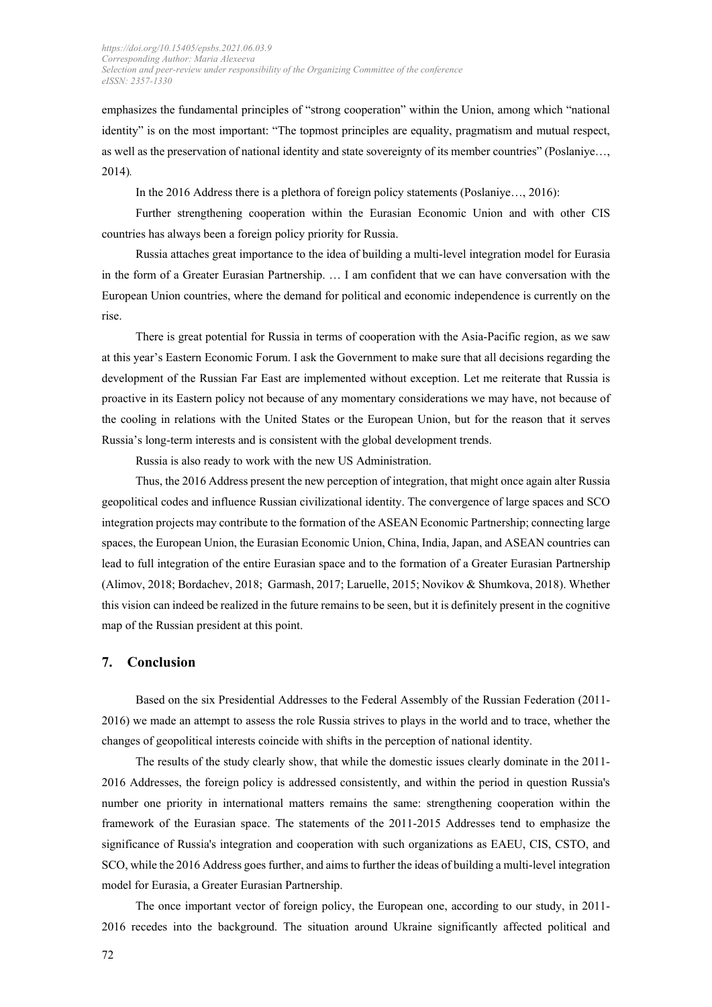emphasizes the fundamental principles of "strong cooperation" within the Union, among which "national identity" is on the most important: "The topmost principles are equality, pragmatism and mutual respect, as well as the preservation of national identity and state sovereignty of its member countries" (Poslaniye…, 2014)*.* 

In the 2016 Address there is a plethora of foreign policy statements (Poslaniye…, 2016):

Further strengthening cooperation within the Eurasian Economic Union and with other CIS countries has always been a foreign policy priority for Russia.

Russia attaches great importance to the idea of building a multi-level integration model for Eurasia in the form of a Greater Eurasian Partnership. … I am confident that we can have conversation with the European Union countries, where the demand for political and economic independence is currently on the rise.

There is great potential for Russia in terms of cooperation with the Asia-Pacific region, as we saw at this year's Eastern Economic Forum. I ask the Government to make sure that all decisions regarding the development of the Russian Far East are implemented without exception. Let me reiterate that Russia is proactive in its Eastern policy not because of any momentary considerations we may have, not because of the cooling in relations with the United States or the European Union, but for the reason that it serves Russia's long-term interests and is consistent with the global development trends.

Russia is also ready to work with the new US Administration.

Thus, the 2016 Address present the new perception of integration, that might once again alter Russia geopolitical codes and influence Russian civilizational identity. The convergence of large spaces and SCO integration projects may contribute to the formation of the ASEAN Economic Partnership; connecting large spaces, the European Union, the Eurasian Economic Union, China, India, Japan, and ASEAN countries can lead to full integration of the entire Eurasian space and to the formation of a Greater Eurasian Partnership (Alimov, 2018; Bordachev, 2018; Garmash, 2017; Laruelle, 2015; Novikov & Shumkova, 2018). Whether this vision can indeed be realized in the future remains to be seen, but it is definitely present in the cognitive map of the Russian president at this point.

#### **7. Conclusion**

Based on the six Presidential Addresses to the Federal Assembly of the Russian Federation (2011- 2016) we made an attempt to assess the role Russia strives to plays in the world and to trace, whether the changes of geopolitical interests coincide with shifts in the perception of national identity.

The results of the study clearly show, that while the domestic issues clearly dominate in the 2011- 2016 Addresses, the foreign policy is addressed consistently, and within the period in question Russia's number one priority in international matters remains the same: strengthening cooperation within the framework of the Eurasian space. The statements of the 2011-2015 Addresses tend to emphasize the significance of Russia's integration and cooperation with such organizations as EAEU, CIS, CSTO, and SCO, while the 2016 Address goes further, and aims to further the ideas of building a multi-level integration model for Eurasia, a Greater Eurasian Partnership.

The once important vector of foreign policy, the European one, according to our study, in 2011- 2016 recedes into the background. The situation around Ukraine significantly affected political and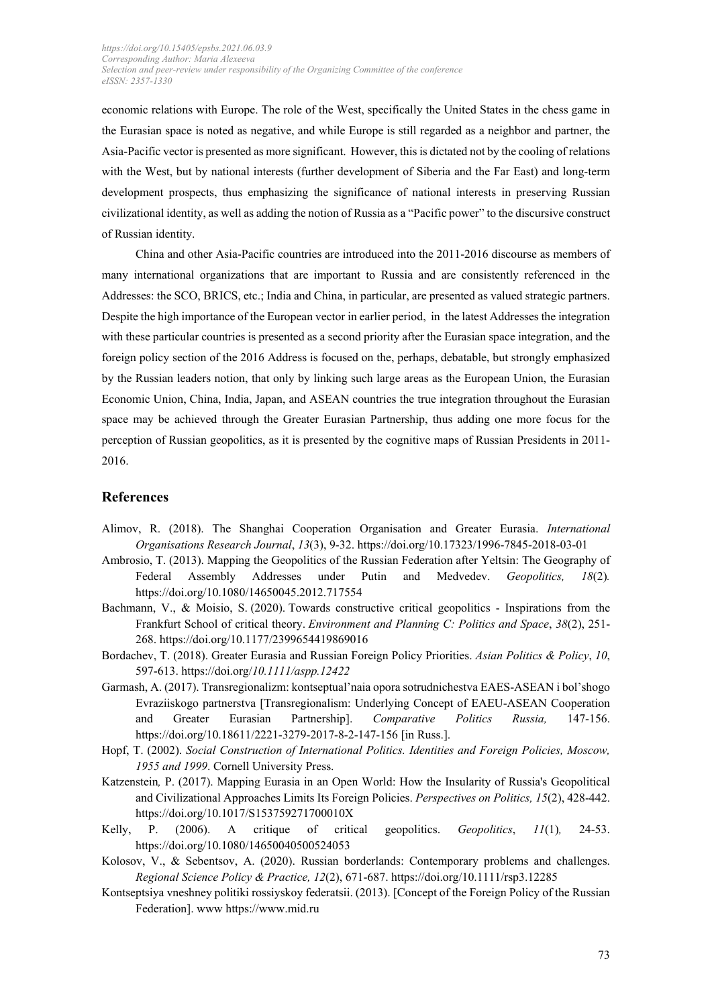economic relations with Europe. The role of the West, specifically the United States in the chess game in the Eurasian space is noted as negative, and while Europe is still regarded as a neighbor and partner, the Asia-Pacific vector is presented as more significant. However, this is dictated not by the cooling of relations with the West, but by national interests (further development of Siberia and the Far East) and long-term development prospects, thus emphasizing the significance of national interests in preserving Russian civilizational identity, as well as adding the notion of Russia as a "Pacific power" to the discursive construct of Russian identity.

China and other Asia-Pacific countries are introduced into the 2011-2016 discourse as members of many international organizations that are important to Russia and are consistently referenced in the Addresses: the SCO, BRICS, etc.; India and China, in particular, are presented as valued strategic partners. Despite the high importance of the European vector in earlier period, in the latest Addresses the integration with these particular countries is presented as a second priority after the Eurasian space integration, and the foreign policy section of the 2016 Address is focused on the, perhaps, debatable, but strongly emphasized by the Russian leaders notion, that only by linking such large areas as the European Union, the Eurasian Economic Union, China, India, Japan, and ASEAN countries the true integration throughout the Eurasian space may be achieved through the Greater Eurasian Partnership, thus adding one more focus for the perception of Russian geopolitics, as it is presented by the cognitive maps of Russian Presidents in 2011- 2016.

#### **References**

- Alimov, R. (2018). The Shanghai Cooperation Organisation and Greater Eurasia. *International Organisations Research Journal*, *13*(3), 9-32. [https://d](https://doi.org/10.1016/j.eist.2018.01.002)oi.org/10.17323/1996-7845-2018-03-01
- Ambrosio, T. (2013). Mapping the Geopolitics of the Russian Federation after Yeltsin: The Geography of Federal Assembly Addresses under Putin and Medvedev. *Geopolitics, 18*(2)*.* <https://doi.org/10.1080/14650045.2012.717554>
- Bachmann, V., & Moisio, S. (2020). Towards constructive critical geopolitics Inspirations from the Frankfurt School of critical theory. *Environment and Planning C: Politics and Space*, *38*(2), 251- 268. https://doi.org/10.1177/2399654419869016
- Bordachev, T. (2018). Greater Eurasia and Russian Foreign Policy Priorities. *Asian Politics & Policy*, *10*, 597-613. https://doi.org/*[10.1111/aspp.12422](https://doi.org/10.1111/aspp.12422)*
- Garmash, A. (2017). Transregionalizm: kontseptual'naia opora sotrudnichestva EAES-ASEAN i bol'shogo Evraziiskogo partnerstva [Transregionalism: Underlying Concept of EAEU-ASEAN Cooperation and Greater Eurasian Partnership]. *Comparative Politics Russia,* 147-156. https://doi.org/10.18611/2221-3279-2017-8-2-147-156 [in Russ.].
- Hopf, T. (2002). *Social Construction of International Politics. Identities and Foreign Policies, Moscow, 1955 and 1999*. Cornell University Press.
- Katzenstein*,* P. (2017). Mapping Eurasia in an Open World: How the Insularity of Russia's Geopolitical and Civilizational Approaches Limits Its Foreign Policies. *Perspectives on Politics, 15*(2), 428-442. <https://doi.org/10.1017/S153759271700010X>
- Kelly, P. (2006). A critique of critical geopolitics. *Geopolitics*, *11*(1)*,* 24-53[.](https://doi:10.1080/14650040500524053) [https://doi.org/10.1080/14650040500524053](https://doi:10.1080/14650040500524053)
- Kolosov, V., & Sebentsov, A. (2020). Russian borderlands: Contemporary problems and challenges. *Regional Science Policy & Practice, 12*(2), 671-687.<https://doi.org/10.1111/rsp3.12285>
- Kontseptsiya vneshney politiki rossiyskoy federatsii. (2013). [Concept of the Foreign Policy of the Russian Federation]. ww[w https://www.mid.ru](https://www.mid.ru/)